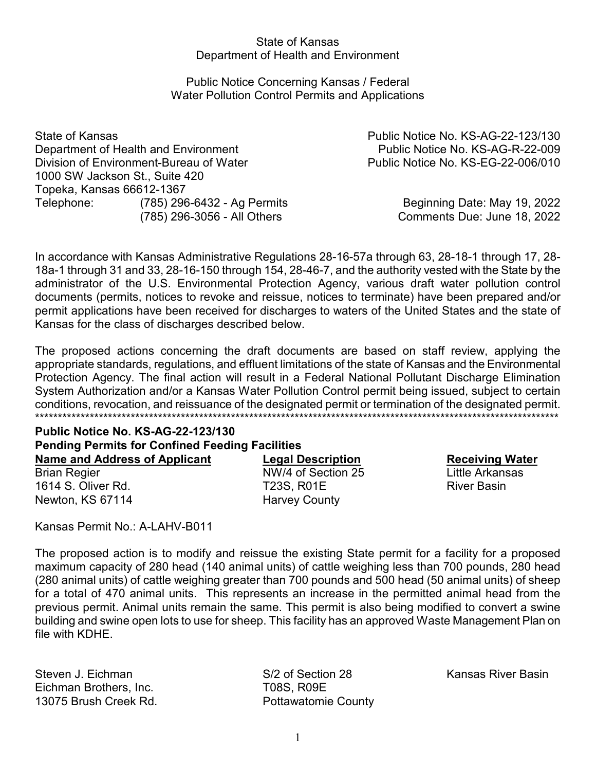### State of Kansas Department of Health and Environment

# Public Notice Concerning Kansas / Federal Water Pollution Control Permits and Applications

State of Kansas Public Notice No. KS-AG-22-123/130 Department of Health and Environment **Public Notice No. KS-AG-R-22-009** Division of Environment-Bureau of Water **Public Notice No. KS-EG-22-006/010** 1000 SW Jackson St., Suite 420 Topeka, Kansas 66612-1367 Telephone: (785) 296-6432 - Ag Permits Beginning Date: May 19, 2022

(785) 296-3056 - All Others Comments Due: June 18, 2022

In accordance with Kansas Administrative Regulations 28-16-57a through 63, 28-18-1 through 17, 28- 18a-1 through 31 and 33, 28-16-150 through 154, 28-46-7, and the authority vested with the State by the administrator of the U.S. Environmental Protection Agency, various draft water pollution control documents (permits, notices to revoke and reissue, notices to terminate) have been prepared and/or permit applications have been received for discharges to waters of the United States and the state of Kansas for the class of discharges described below.

The proposed actions concerning the draft documents are based on staff review, applying the appropriate standards, regulations, and effluent limitations of the state of Kansas and the Environmental Protection Agency. The final action will result in a Federal National Pollutant Discharge Elimination System Authorization and/or a Kansas Water Pollution Control permit being issued, subject to certain conditions, revocation, and reissuance of the designated permit or termination of the designated permit. \*\*\*\*\*\*\*\*\*\*\*\*\*\*\*\*\*\*\*\*\*\*\*\*\*\*\*\*\*\*\*\*\*\*\*\*\*\*\*\*\*\*\*\*\*\*\*\*\*\*\*\*\*\*\*\*\*\*\*\*\*\*\*\*\*\*\*\*\*\*\*\*\*\*\*\*\*\*\*\*\*\*\*\*\*\*\*\*\*\*\*\*\*\*\*\*\*\*\*\*\*\*\*\*\*\*\*\*\*\*\*\*\*\*\*

### **Public Notice No. KS-AG-22-123/130 Pending Permits for Confined Feeding Facilities Name and Address of Applicant Legal Description Receiving Water**

**Brian Regier**  The Regier NW/4 of Section 25 Little Arkansas 1614 S. Oliver Rd. T23S, R01E River Basin Newton, KS 67114 Harvey County

Kansas Permit No.: A-LAHV-B011

The proposed action is to modify and reissue the existing State permit for a facility for a proposed maximum capacity of 280 head (140 animal units) of cattle weighing less than 700 pounds, 280 head (280 animal units) of cattle weighing greater than 700 pounds and 500 head (50 animal units) of sheep for a total of 470 animal units. This represents an increase in the permitted animal head from the previous permit. Animal units remain the same. This permit is also being modified to convert a swine building and swine open lots to use for sheep. This facility has an approved Waste Management Plan on file with KDHE.

Steven J. Eichman S/2 of Section 28 Kansas River Basin Eichman Brothers, Inc. TO8S, R09E 13075 Brush Creek Rd. Pottawatomie County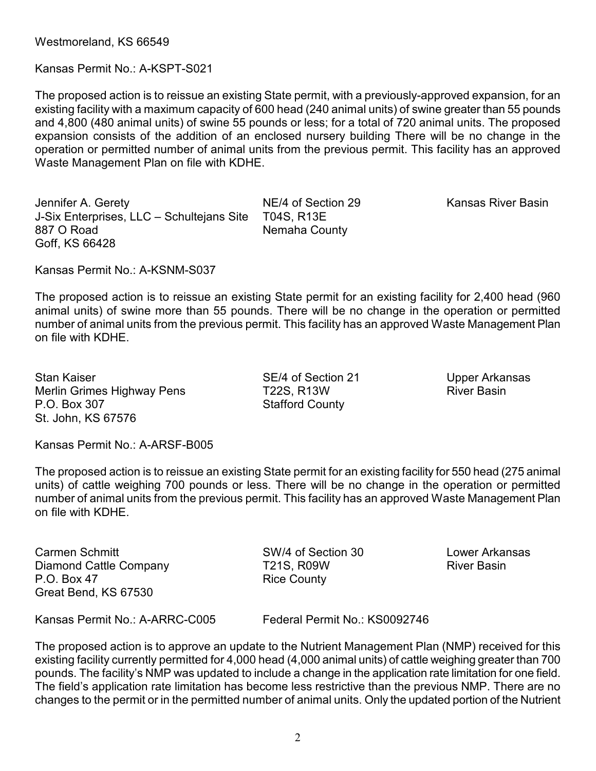Westmoreland, KS 66549

Kansas Permit No.: A-KSPT-S021

The proposed action is to reissue an existing State permit, with a previously-approved expansion, for an existing facility with a maximum capacity of 600 head (240 animal units) of swine greater than 55 pounds and 4,800 (480 animal units) of swine 55 pounds or less; for a total of 720 animal units. The proposed expansion consists of the addition of an enclosed nursery building There will be no change in the operation or permitted number of animal units from the previous permit. This facility has an approved Waste Management Plan on file with KDHE.

Jennifer A. Gerety **NE/4 of Section 29** Kansas River Basin J-Six Enterprises, LLC – Schultejans Site T04S, R13E 887 O Road Nemaha County Goff, KS 66428

Kansas Permit No.: A-KSNM-S037

The proposed action is to reissue an existing State permit for an existing facility for 2,400 head (960 animal units) of swine more than 55 pounds. There will be no change in the operation or permitted number of animal units from the previous permit. This facility has an approved Waste Management Plan on file with KDHE.

Stan Kaiser Sexteen SE/4 of Section 21 Upper Arkansas Merlin Grimes Highway Pens T22S, R13W River Basin P.O. Box 307 Stafford County St. John, KS 67576

Kansas Permit No.: A-ARSF-B005

The proposed action is to reissue an existing State permit for an existing facility for 550 head (275 animal units) of cattle weighing 700 pounds or less. There will be no change in the operation or permitted number of animal units from the previous permit. This facility has an approved Waste Management Plan on file with KDHE.

Carmen Schmitt SW/4 of Section 30 Lower Arkansas Diamond Cattle Company T21S, R09W River Basin P.O. Box 47 Rice County Great Bend, KS 67530

Kansas Permit No.: A-ARRC-C005 Federal Permit No.: KS0092746

The proposed action is to approve an update to the Nutrient Management Plan (NMP) received for this existing facility currently permitted for 4,000 head (4,000 animal units) of cattle weighing greater than 700 pounds. The facility's NMP was updated to include a change in the application rate limitation for one field. The field's application rate limitation has become less restrictive than the previous NMP. There are no changes to the permit or in the permitted number of animal units. Only the updated portion of the Nutrient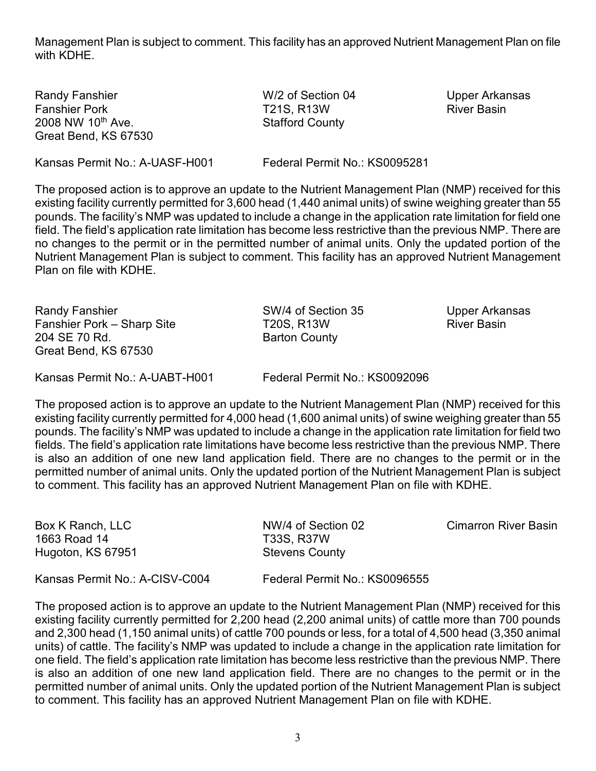Management Plan is subject to comment. This facility has an approved Nutrient Management Plan on file with KDHE.

Randy Fanshier **No. 2018** W/2 of Section 04 Upper Arkansas Fanshier Pork T21S, R13W River Basin 2008 NW 10<sup>th</sup> Ave. Stafford County Great Bend, KS 67530

Kansas Permit No.: A-UASF-H001 Federal Permit No.: KS0095281

The proposed action is to approve an update to the Nutrient Management Plan (NMP) received for this existing facility currently permitted for 3,600 head (1,440 animal units) of swine weighing greater than 55 pounds. The facility's NMP was updated to include a change in the application rate limitation for field one field. The field's application rate limitation has become less restrictive than the previous NMP. There are no changes to the permit or in the permitted number of animal units. Only the updated portion of the Nutrient Management Plan is subject to comment. This facility has an approved Nutrient Management Plan on file with KDHE.

Randy Fanshier **SW/4 of Section 35** Upper Arkansas Fanshier Pork – Sharp Site T20S, R13W River Basin 204 SE 70 Rd. Barton County Great Bend, KS 67530

Kansas Permit No.: A-UABT-H001 Federal Permit No.: KS0092096

The proposed action is to approve an update to the Nutrient Management Plan (NMP) received for this existing facility currently permitted for 4,000 head (1,600 animal units) of swine weighing greater than 55 pounds. The facility's NMP was updated to include a change in the application rate limitation for field two fields. The field's application rate limitations have become less restrictive than the previous NMP. There is also an addition of one new land application field. There are no changes to the permit or in the permitted number of animal units. Only the updated portion of the Nutrient Management Plan is subject to comment. This facility has an approved Nutrient Management Plan on file with KDHE.

| Box K Ranch, LLC<br>1663 Road 14<br>Hugoton, KS 67951 | NW/4 of Section 02<br><b>T33S, R37W</b><br><b>Stevens County</b> | <b>Cimarron River Basin</b> |
|-------------------------------------------------------|------------------------------------------------------------------|-----------------------------|
| Kansas Permit No.: A-CISV-C004                        | Federal Permit No.: KS0096555                                    |                             |

The proposed action is to approve an update to the Nutrient Management Plan (NMP) received for this existing facility currently permitted for 2,200 head (2,200 animal units) of cattle more than 700 pounds and 2,300 head (1,150 animal units) of cattle 700 pounds or less, for a total of 4,500 head (3,350 animal units) of cattle. The facility's NMP was updated to include a change in the application rate limitation for one field. The field's application rate limitation has become less restrictive than the previous NMP. There is also an addition of one new land application field. There are no changes to the permit or in the permitted number of animal units. Only the updated portion of the Nutrient Management Plan is subject to comment. This facility has an approved Nutrient Management Plan on file with KDHE.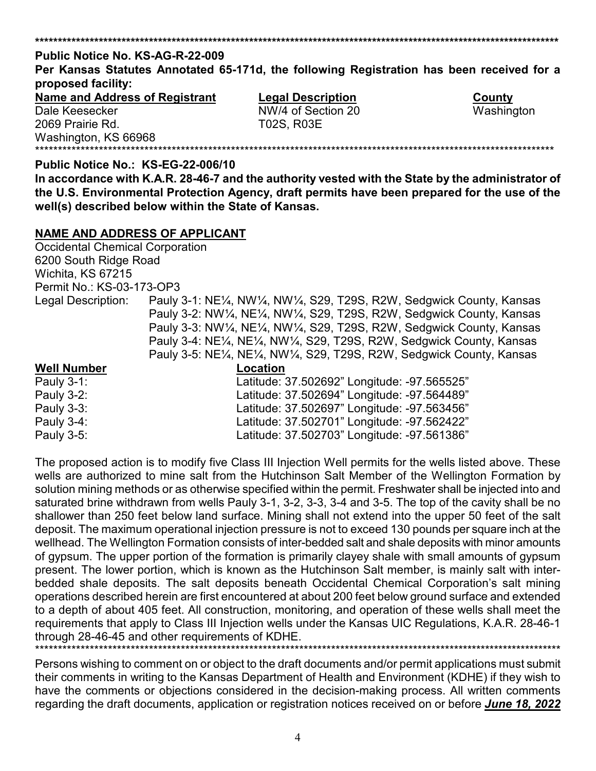# **\*\*\*\*\*\*\*\*\*\*\*\*\*\*\*\*\*\*\*\*\*\*\*\*\*\*\*\*\*\*\*\*\*\*\*\*\*\*\*\*\*\*\*\*\*\*\*\*\*\*\*\*\*\*\*\*\*\*\*\*\*\*\*\*\*\*\*\*\*\*\*\*\*\*\*\*\*\*\*\*\*\*\*\*\*\*\*\*\*\*\*\*\*\*\*\*\*\*\*\*\*\*\*\*\*\*\*\*\*\*\*\*\*\*\* Public Notice No. KS-AG-R-22-009 Per Kansas Statutes Annotated 65-171d, the following Registration has been received for a proposed facility: Name and Address of Registrant Legal Description**<br>
NW/4 of Section 20<br>
NW/4 of Section 20 NW/4 of Section 20 Washington 2069 Prairie Rd. T02S, R03E Washington, KS 66968

# **Public Notice No.: KS-EG-22-006/10**

**In accordance with K.A.R. 28-46-7 and the authority vested with the State by the administrator of the U.S. Environmental Protection Agency, draft permits have been prepared for the use of the well(s) described below within the State of Kansas.** 

\*\*\*\*\*\*\*\*\*\*\*\*\*\*\*\*\*\*\*\*\*\*\*\*\*\*\*\*\*\*\*\*\*\*\*\*\*\*\*\*\*\*\*\*\*\*\*\*\*\*\*\*\*\*\*\*\*\*\*\*\*\*\*\*\*\*\*\*\*\*\*\*\*\*\*\*\*\*\*\*\*\*\*\*\*\*\*\*\*\*\*\*\*\*\*\*\*\*\*\*\*\*\*\*\*\*\*\*\*\*\*\*\*\*

### **NAME AND ADDRESS OF APPLICANT**

Occidental Chemical Corporation 6200 South Ridge Road Wichita, KS 67215 Permit No.: KS-03-173-OP3 Legal Description: Pauly 3-1: NE¼, NW¼, NW¼, S29, T29S, R2W, Sedgwick County, Kansas Pauly 3-2: NW¼, NE¼, NW¼, S29, T29S, R2W, Sedgwick County, Kansas Pauly 3-3: NW¼, NE¼, NW¼, S29, T29S, R2W, Sedgwick County, Kansas Pauly 3-4: NE¼, NE¼, NW¼, S29, T29S, R2W, Sedgwick County, Kansas Pauly 3-5: NE¼, NE¼, NW¼, S29, T29S, R2W, Sedgwick County, Kansas **Well Number Location** Pauly 3-1: Latitude: 37.502692" Longitude: -97.565525" Pauly 3-2: Latitude: 37.502694" Longitude: -97.564489" Pauly 3-3: Latitude: 37.502697" Longitude: -97.563456" Pauly 3-4: Latitude: 37.502701" Longitude: -97.562422" Pauly 3-5: Latitude: 37.502703" Longitude: -97.561386"

The proposed action is to modify five Class III Injection Well permits for the wells listed above. These wells are authorized to mine salt from the Hutchinson Salt Member of the Wellington Formation by solution mining methods or as otherwise specified within the permit. Freshwater shall be injected into and saturated brine withdrawn from wells Pauly 3-1, 3-2, 3-3, 3-4 and 3-5. The top of the cavity shall be no shallower than 250 feet below land surface. Mining shall not extend into the upper 50 feet of the salt deposit. The maximum operational injection pressure is not to exceed 130 pounds per square inch at the wellhead. The Wellington Formation consists of inter-bedded salt and shale deposits with minor amounts of gypsum. The upper portion of the formation is primarily clayey shale with small amounts of gypsum present. The lower portion, which is known as the Hutchinson Salt member, is mainly salt with interbedded shale deposits. The salt deposits beneath Occidental Chemical Corporation's salt mining operations described herein are first encountered at about 200 feet below ground surface and extended to a depth of about 405 feet. All construction, monitoring, and operation of these wells shall meet the requirements that apply to Class III Injection wells under the Kansas UIC Regulations, K.A.R. 28-46-1 through 28-46-45 and other requirements of KDHE.

\*\*\*\*\*\*\*\*\*\*\*\*\*\*\*\*\*\*\*\*\*\*\*\*\*\*\*\*\*\*\*\*\*\*\*\*\*\*\*\*\*\*\*\*\*\*\*\*\*\*\*\*\*\*\*\*\*\*\*\*\*\*\*\*\*\*\*\*\*\*\*\*\*\*\*\*\*\*\*\*\*\*\*\*\*\*\*\*\*\*\*\*\*\*\*\*\*\*\*\*\*\*\*\*\*\*\*\*\*\*\*\*\*\*\*\* Persons wishing to comment on or object to the draft documents and/or permit applications must submit their comments in writing to the Kansas Department of Health and Environment (KDHE) if they wish to have the comments or objections considered in the decision-making process. All written comments regarding the draft documents, application or registration notices received on or before *June 18, 2022*